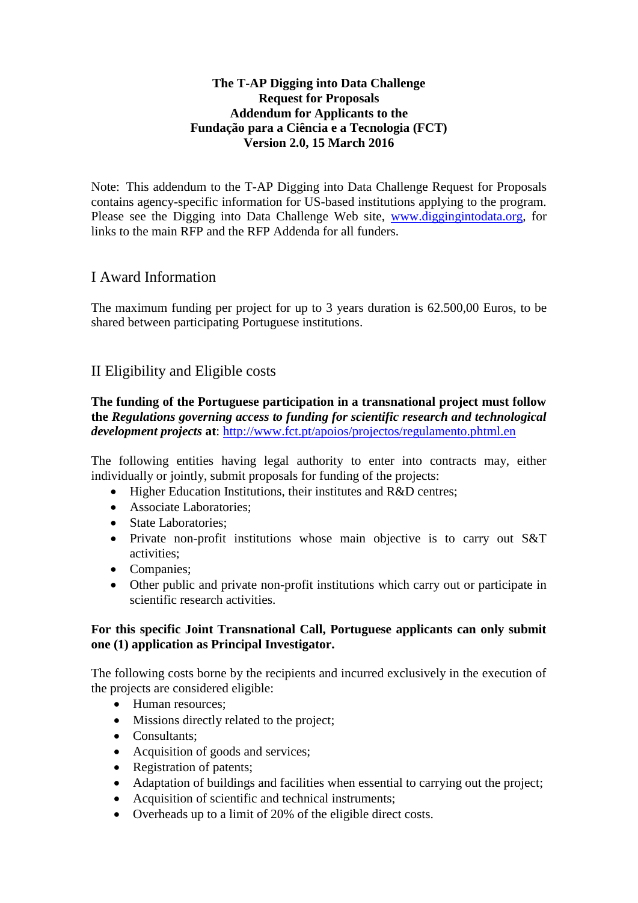### **The T-AP Digging into Data Challenge Request for Proposals Addendum for Applicants to the Fundação para a Ciência e a Tecnologia (FCT) Version 2.0, 15 March 2016**

Note: This addendum to the T-AP Digging into Data Challenge Request for Proposals contains agency-specific information for US-based institutions applying to the program. Please see the Digging into Data Challenge Web site, [www.diggingintodata.org,](http://www.diggingintodata.org/) for links to the main RFP and the RFP Addenda for all funders.

# I Award Information

The maximum funding per project for up to 3 years duration is 62.500,00 Euros, to be shared between participating Portuguese institutions.

# II Eligibility and Eligible costs

**The funding of the Portuguese participation in a transnational project must follow the** *Regulations governing access to funding for scientific research and technological development projects* **at**:<http://www.fct.pt/apoios/projectos/regulamento.phtml.en>

The following entities having legal authority to enter into contracts may, either individually or jointly, submit proposals for funding of the projects:

- Higher Education Institutions, their institutes and R&D centres;
- Associate Laboratories;
- State Laboratories:
- Private non-profit institutions whose main objective is to carry out S&T activities;
- Companies;
- Other public and private non-profit institutions which carry out or participate in scientific research activities.

### **For this specific Joint Transnational Call, Portuguese applicants can only submit one (1) application as Principal Investigator.**

The following costs borne by the recipients and incurred exclusively in the execution of the projects are considered eligible:

- Human resources;
- Missions directly related to the project;
- Consultants;
- Acquisition of goods and services;
- Registration of patents;
- Adaptation of buildings and facilities when essential to carrying out the project;
- Acquisition of scientific and technical instruments;
- Overheads up to a limit of 20% of the eligible direct costs.